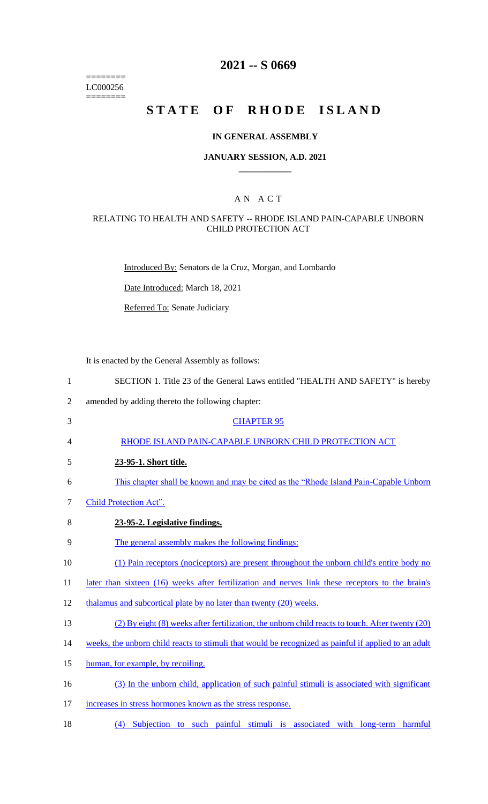======== LC000256  $=$ 

# **2021 -- S 0669**

# **STATE OF RHODE ISLAND**

## **IN GENERAL ASSEMBLY**

#### **JANUARY SESSION, A.D. 2021 \_\_\_\_\_\_\_\_\_\_\_\_**

## A N A C T

### RELATING TO HEALTH AND SAFETY -- RHODE ISLAND PAIN-CAPABLE UNBORN CHILD PROTECTION ACT

Introduced By: Senators de la Cruz, Morgan, and Lombardo

Date Introduced: March 18, 2021

Referred To: Senate Judiciary

It is enacted by the General Assembly as follows:

| 1              | SECTION 1. Title 23 of the General Laws entitled "HEALTH AND SAFETY" is hereby                       |
|----------------|------------------------------------------------------------------------------------------------------|
| $\overline{2}$ | amended by adding thereto the following chapter:                                                     |
| 3              | <b>CHAPTER 95</b>                                                                                    |
| 4              | RHODE ISLAND PAIN-CAPABLE UNBORN CHILD PROTECTION ACT                                                |
| 5              | 23-95-1. Short title.                                                                                |
| 6              | This chapter shall be known and may be cited as the "Rhode Island Pain-Capable Unborn"               |
| 7              | Child Protection Act".                                                                               |
| 8              | 23-95-2. Legislative findings.                                                                       |
| 9              | The general assembly makes the following findings:                                                   |
| 10             | (1) Pain receptors (nociceptors) are present throughout the unborn child's entire body no            |
| 11             | later than sixteen (16) weeks after fertilization and nerves link these receptors to the brain's     |
| 12             | thalamus and subcortical plate by no later than twenty (20) weeks.                                   |
| 13             | (2) By eight (8) weeks after fertilization, the unborn child reacts to touch. After twenty (20)      |
| 14             | weeks, the unborn child reacts to stimuli that would be recognized as painful if applied to an adult |
| 15             | human, for example, by recoiling.                                                                    |
| 16             | (3) In the unborn child, application of such painful stimuli is associated with significant          |
| 17             | increases in stress hormones known as the stress response.                                           |

18 (4) Subjection to such painful stimuli is associated with long-term harmful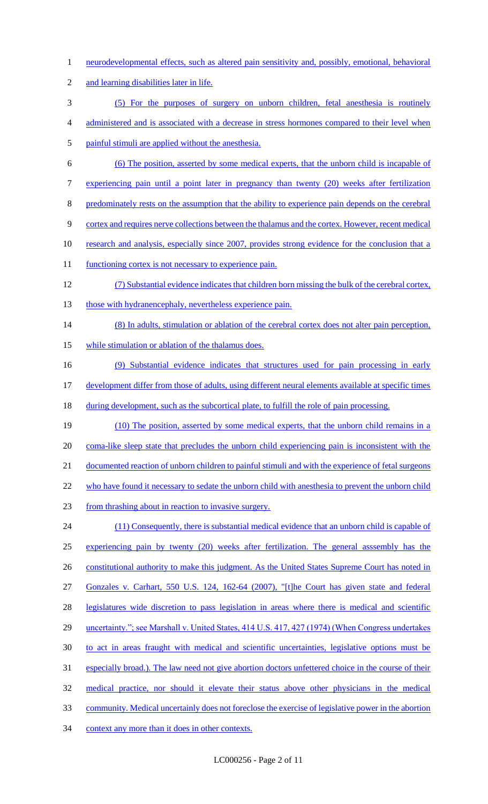- 1 neurodevelopmental effects, such as altered pain sensitivity and, possibly, emotional, behavioral
- 2 and learning disabilities later in life.
- 3 (5) For the purposes of surgery on unborn children, fetal anesthesia is routinely
- 4 administered and is associated with a decrease in stress hormones compared to their level when
- 5 painful stimuli are applied without the anesthesia.
- 6 (6) The position, asserted by some medical experts, that the unborn child is incapable of
- 7 experiencing pain until a point later in pregnancy than twenty (20) weeks after fertilization
- 8 predominately rests on the assumption that the ability to experience pain depends on the cerebral
- 9 cortex and requires nerve collections between the thalamus and the cortex. However, recent medical
- 10 research and analysis, especially since 2007, provides strong evidence for the conclusion that a
- 11 functioning cortex is not necessary to experience pain.
- 12 (7) Substantial evidence indicates that children born missing the bulk of the cerebral cortex, 13 those with hydranencephaly, nevertheless experience pain.
- 14 (8) In adults, stimulation or ablation of the cerebral cortex does not alter pain perception, 15 while stimulation or ablation of the thalamus does.
- 16 (9) Substantial evidence indicates that structures used for pain processing in early 17 development differ from those of adults, using different neural elements available at specific times
- 18 during development, such as the subcortical plate, to fulfill the role of pain processing.
- 19 (10) The position, asserted by some medical experts, that the unborn child remains in a 20 coma-like sleep state that precludes the unborn child experiencing pain is inconsistent with the 21 documented reaction of unborn children to painful stimuli and with the experience of fetal surgeons 22 who have found it necessary to sedate the unborn child with anesthesia to prevent the unborn child 23 from thrashing about in reaction to invasive surgery. 24 (11) Consequently, there is substantial medical evidence that an unborn child is capable of
- 25 experiencing pain by twenty (20) weeks after fertilization. The general asssembly has the 26 constitutional authority to make this judgment. As the United States Supreme Court has noted in
- 27 Gonzales v. Carhart, 550 U.S. 124, 162-64 (2007), "[t]he Court has given state and federal
- 28 legislatures wide discretion to pass legislation in areas where there is medical and scientific
- 29 uncertainty."; see Marshall v. United States, 414 U.S. 417, 427 (1974) (When Congress undertakes
- 30 to act in areas fraught with medical and scientific uncertainties, legislative options must be
- 31 especially broad.). The law need not give abortion doctors unfettered choice in the course of their
- 32 medical practice, nor should it elevate their status above other physicians in the medical
- 33 community. Medical uncertainly does not foreclose the exercise of legislative power in the abortion
- 34 context any more than it does in other contexts.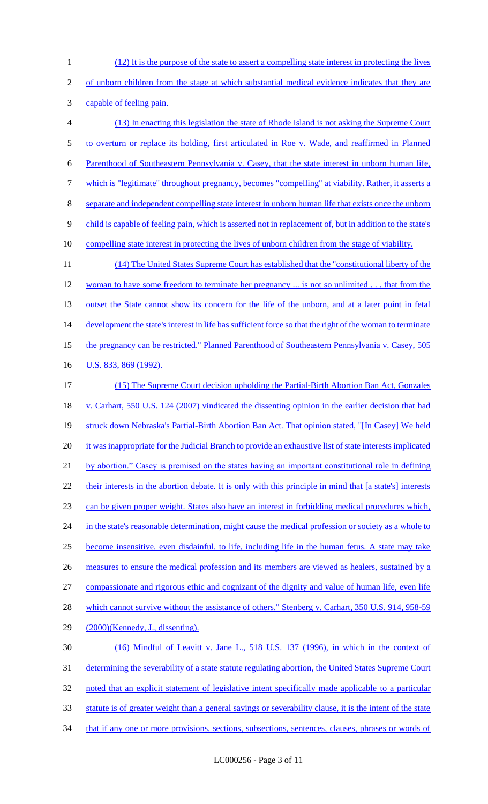(12) It is the purpose of the state to assert a compelling state interest in protecting the lives of unborn children from the stage at which substantial medical evidence indicates that they are capable of feeling pain. (13) In enacting this legislation the state of Rhode Island is not asking the Supreme Court to overturn or replace its holding, first articulated in Roe v. Wade, and reaffirmed in Planned Parenthood of Southeastern Pennsylvania v. Casey, that the state interest in unborn human life, which is "legitimate" throughout pregnancy, becomes "compelling" at viability. Rather, it asserts a separate and independent compelling state interest in unborn human life that exists once the unborn 9 child is capable of feeling pain, which is asserted not in replacement of, but in addition to the state's compelling state interest in protecting the lives of unborn children from the stage of viability. (14) The United States Supreme Court has established that the "constitutional liberty of the 12 woman to have some freedom to terminate her pregnancy ... is not so unlimited . . . that from the 13 outset the State cannot show its concern for the life of the unborn, and at a later point in fetal 14 development the state's interest in life has sufficient force so that the right of the woman to terminate the pregnancy can be restricted." Planned Parenthood of Southeastern Pennsylvania v. Casey, 505 16 U.S. 833, 869 (1992).

 (15) The Supreme Court decision upholding the Partial-Birth Abortion Ban Act, Gonzales v. Carhart, 550 U.S. 124 (2007) vindicated the dissenting opinion in the earlier decision that had 19 struck down Nebraska's Partial-Birth Abortion Ban Act. That opinion stated, "[In Casey] We held 20 it was inappropriate for the Judicial Branch to provide an exhaustive list of state interests implicated by abortion." Casey is premised on the states having an important constitutional role in defining 22 their interests in the abortion debate. It is only with this principle in mind that [a state's] interests can be given proper weight. States also have an interest in forbidding medical procedures which, 24 in the state's reasonable determination, might cause the medical profession or society as a whole to become insensitive, even disdainful, to life, including life in the human fetus. A state may take 26 measures to ensure the medical profession and its members are viewed as healers, sustained by a compassionate and rigorous ethic and cognizant of the dignity and value of human life, even life 28 which cannot survive without the assistance of others." Stenberg v. Carhart, 350 U.S. 914, 958-59 (2000)(Kennedy, J., dissenting). (16) Mindful of Leavitt v. Jane L., 518 U.S. 137 (1996), in which in the context of determining the severability of a state statute regulating abortion, the United States Supreme Court noted that an explicit statement of legislative intent specifically made applicable to a particular statute is of greater weight than a general savings or severability clause, it is the intent of the state 34 that if any one or more provisions, sections, subsections, sentences, clauses, phrases or words of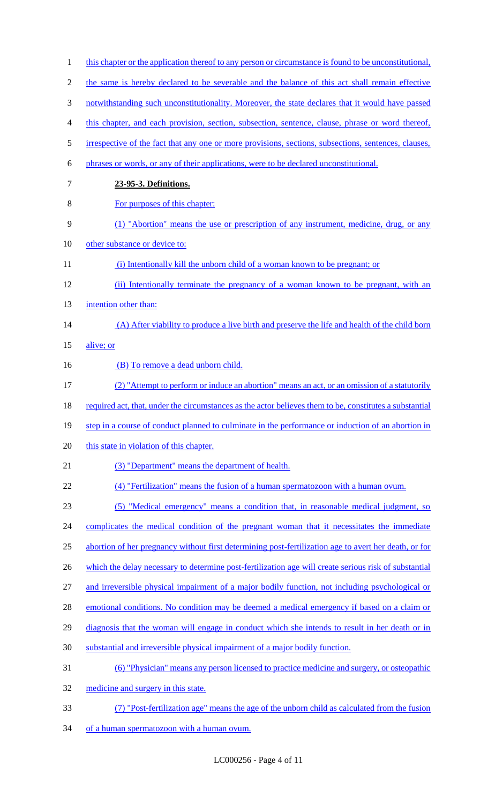| $\mathbf{1}$   | this chapter or the application thereof to any person or circumstance is found to be unconstitutional.  |
|----------------|---------------------------------------------------------------------------------------------------------|
| $\overline{2}$ | the same is hereby declared to be severable and the balance of this act shall remain effective          |
| 3              | notwithstanding such unconstitutionality. Moreover, the state declares that it would have passed        |
| 4              | this chapter, and each provision, section, subsection, sentence, clause, phrase or word thereof,        |
| 5              | irrespective of the fact that any one or more provisions, sections, subsections, sentences, clauses,    |
| 6              | phrases or words, or any of their applications, were to be declared unconstitutional.                   |
| 7              | 23-95-3. Definitions.                                                                                   |
| 8              | For purposes of this chapter:                                                                           |
| 9              | (1) "Abortion" means the use or prescription of any instrument, medicine, drug, or any                  |
| 10             | other substance or device to:                                                                           |
| 11             | (i) Intentionally kill the unborn child of a woman known to be pregnant; or                             |
| 12             | (ii) Intentionally terminate the pregnancy of a woman known to be pregnant, with an                     |
| 13             | intention other than:                                                                                   |
| 14             | (A) After viability to produce a live birth and preserve the life and health of the child born          |
| 15             | alive; or                                                                                               |
| 16             | (B) To remove a dead unborn child.                                                                      |
| 17             | (2) "Attempt to perform or induce an abortion" means an act, or an omission of a statutorily            |
| 18             | required act, that, under the circumstances as the actor believes them to be, constitutes a substantial |
| 19             | step in a course of conduct planned to culminate in the performance or induction of an abortion in      |
| 20             | this state in violation of this chapter.                                                                |
| 21             | (3) "Department" means the department of health.                                                        |
| 22             | (4) "Fertilization" means the fusion of a human spermatozoon with a human ovum.                         |
| 23             | (5) "Medical emergency" means a condition that, in reasonable medical judgment, so                      |
| 24             | complicates the medical condition of the pregnant woman that it necessitates the immediate              |
| 25             | abortion of her pregnancy without first determining post-fertilization age to avert her death, or for   |
| 26             | which the delay necessary to determine post-fertilization age will create serious risk of substantial   |
| 27             | and irreversible physical impairment of a major bodily function, not including psychological or         |
| 28             | emotional conditions. No condition may be deemed a medical emergency if based on a claim or             |
| 29             | diagnosis that the woman will engage in conduct which she intends to result in her death or in          |
| 30             | substantial and irreversible physical impairment of a major bodily function.                            |
| 31             | <u>(6) "Physician" means any person licensed to practice medicine and surgery, or osteopathic</u>       |
| 32             | medicine and surgery in this state.                                                                     |
| 33             | (7) "Post-fertilization age" means the age of the unborn child as calculated from the fusion            |
| 34             | of a human spermatozoon with a human ovum.                                                              |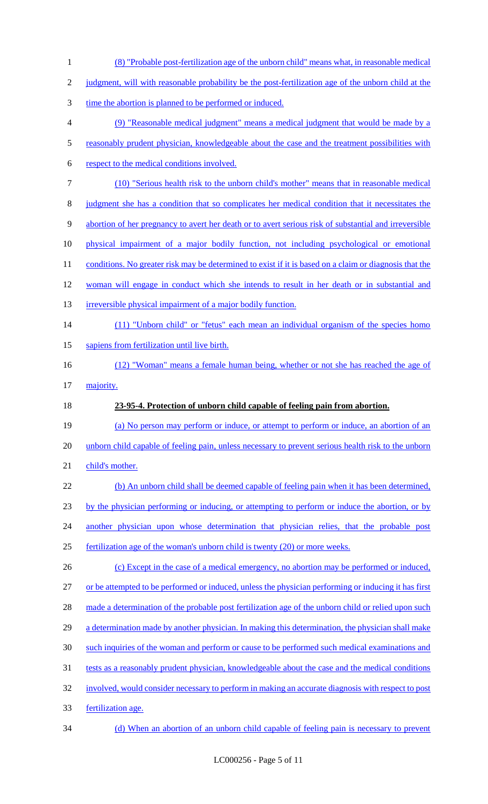| $\mathbf{1}$   | (8) "Probable post-fertilization age of the unborn child" means what, in reasonable medical            |
|----------------|--------------------------------------------------------------------------------------------------------|
| $\mathbf{2}$   | judgment, will with reasonable probability be the post-fertilization age of the unborn child at the    |
| 3              | time the abortion is planned to be performed or induced.                                               |
| $\overline{4}$ | (9) "Reasonable medical judgment" means a medical judgment that would be made by a                     |
| $\mathfrak s$  | reasonably prudent physician, knowledgeable about the case and the treatment possibilities with        |
| 6              | respect to the medical conditions involved.                                                            |
| $\tau$         | (10) "Serious health risk to the unborn child's mother" means that in reasonable medical               |
| $8\,$          | judgment she has a condition that so complicates her medical condition that it necessitates the        |
| $\mathbf{9}$   | abortion of her pregnancy to avert her death or to avert serious risk of substantial and irreversible  |
| 10             | physical impairment of a major bodily function, not including psychological or emotional               |
| 11             | conditions. No greater risk may be determined to exist if it is based on a claim or diagnosis that the |
| 12             | woman will engage in conduct which she intends to result in her death or in substantial and            |
| 13             | irreversible physical impairment of a major bodily function.                                           |
| 14             | (11) "Unborn child" or "fetus" each mean an individual organism of the species homo                    |
| 15             | sapiens from fertilization until live birth.                                                           |
| 16             | (12) "Woman" means a female human being, whether or not she has reached the age of                     |
| 17             | majority.                                                                                              |
| 18             | 23-95-4. Protection of unborn child capable of feeling pain from abortion.                             |
| 19             | (a) No person may perform or induce, or attempt to perform or induce, an abortion of an                |
| 20             | unborn child capable of feeling pain, unless necessary to prevent serious health risk to the unborn    |
| 21             | child's mother.                                                                                        |
| 22             | (b) An unborn child shall be deemed capable of feeling pain when it has been determined,               |
| 23             | by the physician performing or inducing, or attempting to perform or induce the abortion, or by        |
| 24             | another physician upon whose determination that physician relies, that the probable post               |
| 25             | fertilization age of the woman's unborn child is twenty (20) or more weeks.                            |
| 26             | (c) Except in the case of a medical emergency, no abortion may be performed or induced,                |
| 27             | or be attempted to be performed or induced, unless the physician performing or inducing it has first   |
| 28             | made a determination of the probable post fertilization age of the unborn child or relied upon such    |
| 29             | a determination made by another physician. In making this determination, the physician shall make      |
| 30             | such inquiries of the woman and perform or cause to be performed such medical examinations and         |
| 31             | tests as a reasonably prudent physician, knowledgeable about the case and the medical conditions       |
| 32             | involved, would consider necessary to perform in making an accurate diagnosis with respect to post     |
| 33             |                                                                                                        |
|                | fertilization age.                                                                                     |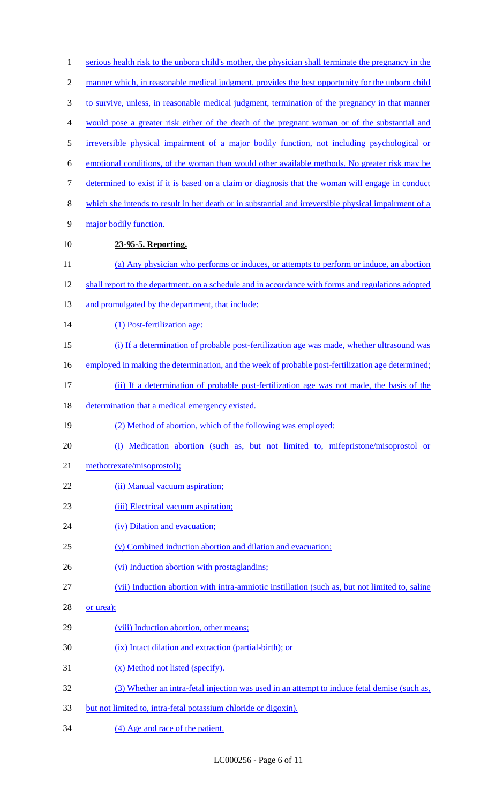| $\mathbf{1}$   | serious health risk to the unborn child's mother, the physician shall terminate the pregnancy in the |
|----------------|------------------------------------------------------------------------------------------------------|
| $\overline{2}$ | manner which, in reasonable medical judgment, provides the best opportunity for the unborn child     |
| $\mathfrak{Z}$ | to survive, unless, in reasonable medical judgment, termination of the pregnancy in that manner      |
| $\overline{4}$ | would pose a greater risk either of the death of the pregnant woman or of the substantial and        |
| 5              | irreversible physical impairment of a major bodily function, not including psychological or          |
| 6              | emotional conditions, of the woman than would other available methods. No greater risk may be        |
| $\tau$         | determined to exist if it is based on a claim or diagnosis that the woman will engage in conduct     |
| $8\,$          | which she intends to result in her death or in substantial and irreversible physical impairment of a |
| 9              | major bodily function.                                                                               |
| 10             | 23-95-5. Reporting.                                                                                  |
| 11             | (a) Any physician who performs or induces, or attempts to perform or induce, an abortion             |
| 12             | shall report to the department, on a schedule and in accordance with forms and regulations adopted   |
| 13             | and promulgated by the department, that include:                                                     |
| 14             | (1) Post-fertilization age:                                                                          |
| 15             | (i) If a determination of probable post-fertilization age was made, whether ultrasound was           |
| 16             | employed in making the determination, and the week of probable post-fertilization age determined;    |
| 17             | (ii) If a determination of probable post-fertilization age was not made, the basis of the            |
| 18             | determination that a medical emergency existed.                                                      |
| 19             | (2) Method of abortion, which of the following was employed:                                         |
| 20             | (i) Medication abortion (such as, but not limited to, mifepristone/misoprostol or                    |
| 21             | methotrexate/misoprostol);                                                                           |
| 22             | (ii) Manual vacuum aspiration;                                                                       |
| 23             | (iii) Electrical vacuum aspiration;                                                                  |
| 24             | (iv) Dilation and evacuation;                                                                        |
| 25             | (v) Combined induction abortion and dilation and evacuation;                                         |
| 26             | (vi) Induction abortion with prostaglandins;                                                         |
| 27             | (vii) Induction abortion with intra-amniotic instillation (such as, but not limited to, saline       |
| 28             | or urea);                                                                                            |
| 29             | (viii) Induction abortion, other means;                                                              |
| 30             | (ix) Intact dilation and extraction (partial-birth); or                                              |
| 31             | (x) Method not listed (specify).                                                                     |
| 32             | (3) Whether an intra-fetal injection was used in an attempt to induce fetal demise (such as,         |
| 33             | but not limited to, intra-fetal potassium chloride or digoxin).                                      |
| 34             | (4) Age and race of the patient.                                                                     |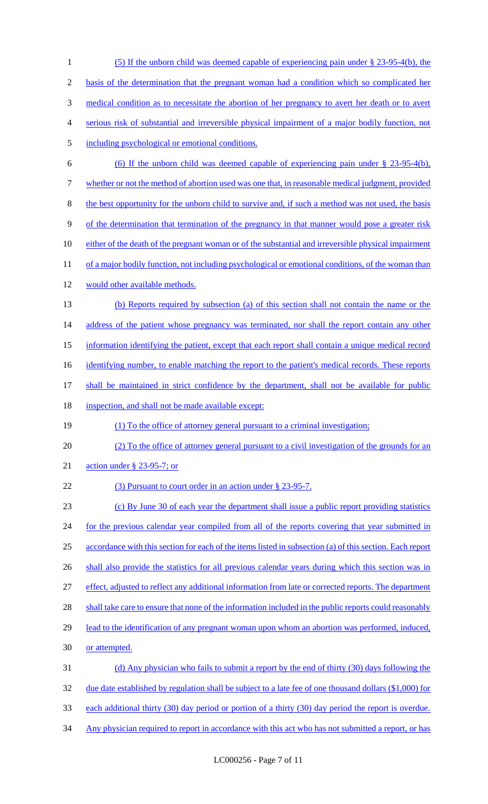(5) If the unborn child was deemed capable of experiencing pain under § 23-95-4(b), the basis of the determination that the pregnant woman had a condition which so complicated her medical condition as to necessitate the abortion of her pregnancy to avert her death or to avert serious risk of substantial and irreversible physical impairment of a major bodily function, not including psychological or emotional conditions. (6) If the unborn child was deemed capable of experiencing pain under § 23-95-4(b), whether or not the method of abortion used was one that, in reasonable medical judgment, provided the best opportunity for the unborn child to survive and, if such a method was not used, the basis of the determination that termination of the pregnancy in that manner would pose a greater risk 10 either of the death of the pregnant woman or of the substantial and irreversible physical impairment 11 of a major bodily function, not including psychological or emotional conditions, of the woman than would other available methods. (b) Reports required by subsection (a) of this section shall not contain the name or the 14 address of the patient whose pregnancy was terminated, nor shall the report contain any other information identifying the patient, except that each report shall contain a unique medical record 16 identifying number, to enable matching the report to the patient's medical records. These reports 17 shall be maintained in strict confidence by the department, shall not be available for public 18 inspection, and shall not be made available except: (1) To the office of attorney general pursuant to a criminal investigation; (2) To the office of attorney general pursuant to a civil investigation of the grounds for an action under § 23-95-7; or 22 (3) Pursuant to court order in an action under § 23-95-7. (c) By June 30 of each year the department shall issue a public report providing statistics 24 for the previous calendar year compiled from all of the reports covering that year submitted in accordance with this section for each of the items listed in subsection (a) of this section. Each report 26 shall also provide the statistics for all previous calendar years during which this section was in effect, adjusted to reflect any additional information from late or corrected reports. The department 28 shall take care to ensure that none of the information included in the public reports could reasonably 29 lead to the identification of any pregnant woman upon whom an abortion was performed, induced, or attempted. (d) Any physician who fails to submit a report by the end of thirty (30) days following the 32 due date established by regulation shall be subject to a late fee of one thousand dollars (\$1,000) for each additional thirty (30) day period or portion of a thirty (30) day period the report is overdue. 34 Any physician required to report in accordance with this act who has not submitted a report, or has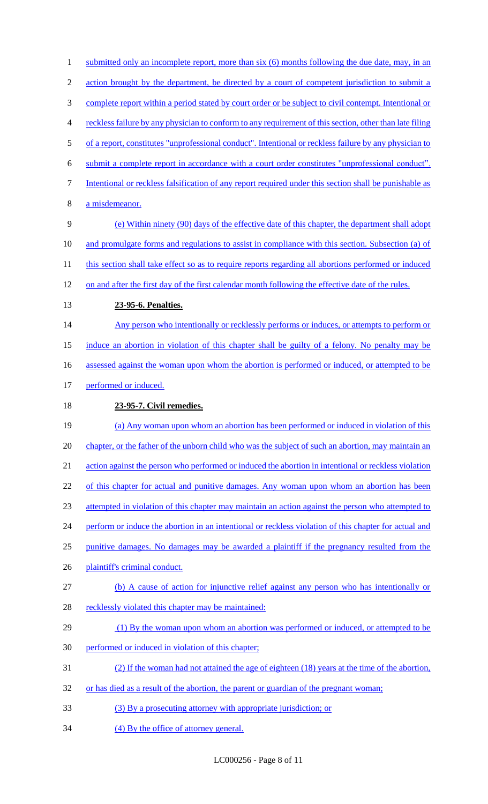1 submitted only an incomplete report, more than six (6) months following the due date, may, in an 2 action brought by the department, be directed by a court of competent jurisdiction to submit a complete report within a period stated by court order or be subject to civil contempt. Intentional or reckless failure by any physician to conform to any requirement of this section, other than late filing of a report, constitutes "unprofessional conduct". Intentional or reckless failure by any physician to submit a complete report in accordance with a court order constitutes "unprofessional conduct". Intentional or reckless falsification of any report required under this section shall be punishable as a misdemeanor. (e) Within ninety (90) days of the effective date of this chapter, the department shall adopt and promulgate forms and regulations to assist in compliance with this section. Subsection (a) of 11 this section shall take effect so as to require reports regarding all abortions performed or induced on and after the first day of the first calendar month following the effective date of the rules. **23-95-6. Penalties.**  14 Any person who intentionally or recklessly performs or induces, or attempts to perform or induce an abortion in violation of this chapter shall be guilty of a felony. No penalty may be 16 assessed against the woman upon whom the abortion is performed or induced, or attempted to be 17 performed or induced. **23-95-7. Civil remedies.**  (a) Any woman upon whom an abortion has been performed or induced in violation of this chapter, or the father of the unborn child who was the subject of such an abortion, may maintain an action against the person who performed or induced the abortion in intentional or reckless violation 22 of this chapter for actual and punitive damages. Any woman upon whom an abortion has been attempted in violation of this chapter may maintain an action against the person who attempted to 24 perform or induce the abortion in an intentional or reckless violation of this chapter for actual and 25 punitive damages. No damages may be awarded a plaintiff if the pregnancy resulted from the plaintiff's criminal conduct. (b) A cause of action for injunctive relief against any person who has intentionally or 28 recklessly violated this chapter may be maintained: 29 (1) By the woman upon whom an abortion was performed or induced, or attempted to be performed or induced in violation of this chapter; (2) If the woman had not attained the age of eighteen (18) years at the time of the abortion, 32 or has died as a result of the abortion, the parent or guardian of the pregnant woman; (3) By a prosecuting attorney with appropriate jurisdiction; or 34 (4) By the office of attorney general.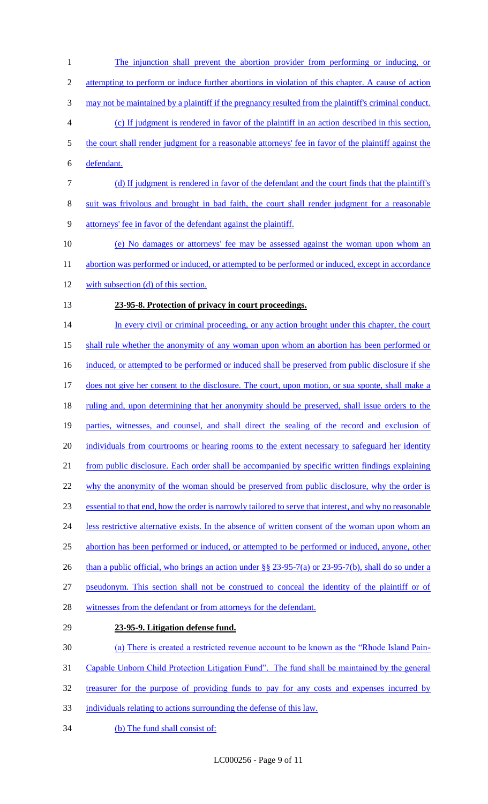The injunction shall prevent the abortion provider from performing or inducing, or 2 attempting to perform or induce further abortions in violation of this chapter. A cause of action may not be maintained by a plaintiff if the pregnancy resulted from the plaintiff's criminal conduct. (c) If judgment is rendered in favor of the plaintiff in an action described in this section, the court shall render judgment for a reasonable attorneys' fee in favor of the plaintiff against the defendant. (d) If judgment is rendered in favor of the defendant and the court finds that the plaintiff's suit was frivolous and brought in bad faith, the court shall render judgment for a reasonable attorneys' fee in favor of the defendant against the plaintiff. (e) No damages or attorneys' fee may be assessed against the woman upon whom an 11 abortion was performed or induced, or attempted to be performed or induced, except in accordance with subsection (d) of this section. **23-95-8. Protection of privacy in court proceedings.**  14 In every civil or criminal proceeding, or any action brought under this chapter, the court shall rule whether the anonymity of any woman upon whom an abortion has been performed or 16 induced, or attempted to be performed or induced shall be preserved from public disclosure if she 17 does not give her consent to the disclosure. The court, upon motion, or sua sponte, shall make a 18 ruling and, upon determining that her anonymity should be preserved, shall issue orders to the parties, witnesses, and counsel, and shall direct the sealing of the record and exclusion of 20 individuals from courtrooms or hearing rooms to the extent necessary to safeguard her identity from public disclosure. Each order shall be accompanied by specific written findings explaining 22 why the anonymity of the woman should be preserved from public disclosure, why the order is essential to that end, how the order is narrowly tailored to serve that interest, and why no reasonable 24 less restrictive alternative exists. In the absence of written consent of the woman upon whom an abortion has been performed or induced, or attempted to be performed or induced, anyone, other 26 than a public official, who brings an action under §§ 23-95-7(a) or 23-95-7(b), shall do so under a pseudonym. This section shall not be construed to conceal the identity of the plaintiff or of 28 witnesses from the defendant or from attorneys for the defendant. **23-95-9. Litigation defense fund.**  (a) There is created a restricted revenue account to be known as the "Rhode Island Pain- Capable Unborn Child Protection Litigation Fund". The fund shall be maintained by the general treasurer for the purpose of providing funds to pay for any costs and expenses incurred by individuals relating to actions surrounding the defense of this law.

34 (b) The fund shall consist of: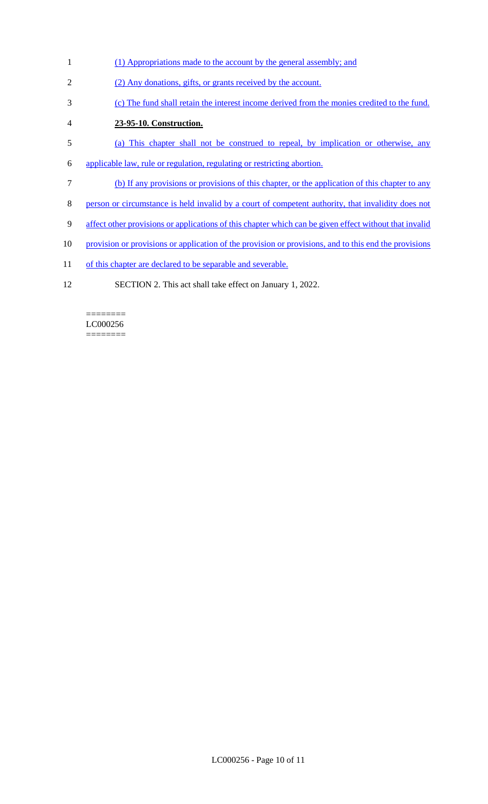- (1) Appropriations made to the account by the general assembly; and
- (2) Any donations, gifts, or grants received by the account.
- (c) The fund shall retain the interest income derived from the monies credited to the fund.
- **23-95-10. Construction.**
- (a) This chapter shall not be construed to repeal, by implication or otherwise, any
- applicable law, rule or regulation, regulating or restricting abortion.
- (b) If any provisions or provisions of this chapter, or the application of this chapter to any
- person or circumstance is held invalid by a court of competent authority, that invalidity does not
- affect other provisions or applications of this chapter which can be given effect without that invalid
- 10 provision or provisions or application of the provision or provisions, and to this end the provisions
- 11 of this chapter are declared to be separable and severable.
- SECTION 2. This act shall take effect on January 1, 2022.

======== LC000256 ========